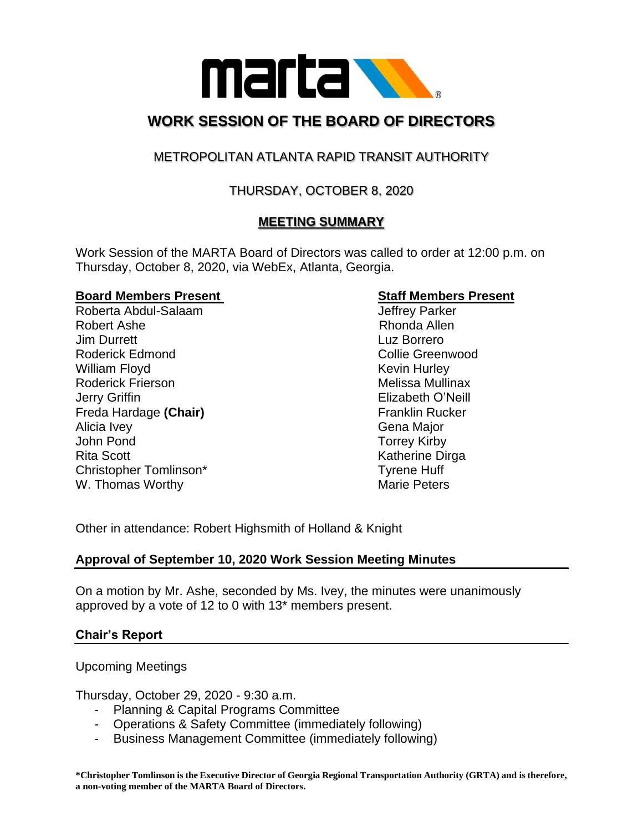

# **WORK SESSION OF THE BOARD OF DIRECTORS**

## METROPOLITAN ATLANTA RAPID TRANSIT AUTHORITY

## THURSDAY, OCTOBER 8, 2020

## **MEETING SUMMARY**

Work Session of the MARTA Board of Directors was called to order at 12:00 p.m. on Thursday, October 8, 2020, via WebEx, Atlanta, Georgia.

#### **Board Members Present Staff Members Present**

Roberta Abdul-Salaam and a state of the United States of the United States Abdul-Robert Ashe **Rhonda** Allen Jim Durrett Luz Borrero Roderick Edmond **Collie Greenwood Collie Greenwood** William Floyd **Kevin Hurley** Kevin Hurley Roderick Frierson **Melissa Mullinax** Jerry Griffin Elizabeth O'Neill Freda Hardage (Chair) **Franklin Rucker** Franklin Rucker Alicia Ivey **Gena Major** John Pond Torrey Kirby Rita Scott **Katherine Dirga** Christopher Tomlinson\* Tyrene Huff W. Thomas Worthy Marie Peters

Other in attendance: Robert Highsmith of Holland & Knight

### **Approval of September 10, 2020 Work Session Meeting Minutes**

On a motion by Mr. Ashe, seconded by Ms. Ivey, the minutes were unanimously approved by a vote of 12 to 0 with 13\* members present.

#### **Chair's Report**

Upcoming Meetings

Thursday, October 29, 2020 - 9:30 a.m.

- Planning & Capital Programs Committee
- Operations & Safety Committee (immediately following)
- Business Management Committee (immediately following)